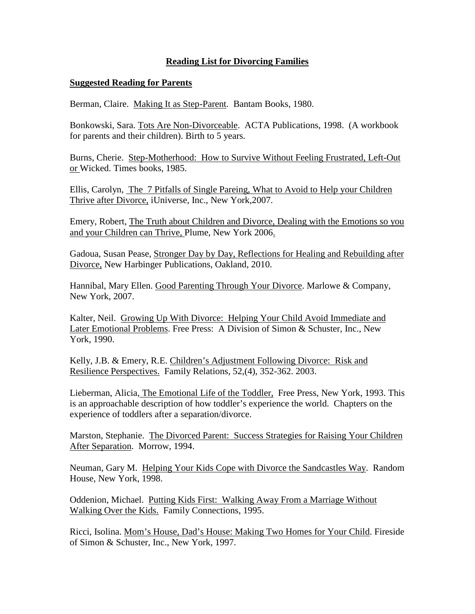# **Reading List for Divorcing Families**

### **Suggested Reading for Parents**

Berman, Claire. Making It as Step-Parent. Bantam Books, 1980.

Bonkowski, Sara. Tots Are Non-Divorceable. ACTA Publications, 1998. (A workbook for parents and their children). Birth to 5 years.

Burns, Cherie. Step-Motherhood: How to Survive Without Feeling Frustrated, Left-Out or Wicked. Times books, 1985.

Ellis, Carolyn, The 7 Pitfalls of Single Pareing, What to Avoid to Help your Children Thrive after Divorce, iUniverse, Inc., New York,2007.

Emery, Robert, The Truth about Children and Divorce, Dealing with the Emotions so you and your Children can Thrive, Plume, New York 2006.

Gadoua, Susan Pease, Stronger Day by Day, Reflections for Healing and Rebuilding after Divorce, New Harbinger Publications, Oakland, 2010.

Hannibal, Mary Ellen. Good Parenting Through Your Divorce. Marlowe & Company, New York, 2007.

Kalter, Neil. Growing Up With Divorce: Helping Your Child Avoid Immediate and Later Emotional Problems. Free Press: A Division of Simon & Schuster, Inc., New York, 1990.

Kelly, J.B. & Emery, R.E. Children's Adjustment Following Divorce: Risk and Resilience Perspectives. Family Relations, 52,(4), 352-362. 2003.

Lieberman, Alicia, The Emotional Life of the Toddler, Free Press, New York, 1993. This is an approachable description of how toddler's experience the world. Chapters on the experience of toddlers after a separation/divorce.

Marston, Stephanie. The Divorced Parent: Success Strategies for Raising Your Children After Separation. Morrow, 1994.

Neuman, Gary M. Helping Your Kids Cope with Divorce the Sandcastles Way. Random House, New York, 1998.

Oddenion, Michael. Putting Kids First: Walking Away From a Marriage Without Walking Over the Kids. Family Connections, 1995.

Ricci, Isolina. Mom's House, Dad's House: Making Two Homes for Your Child. Fireside of Simon & Schuster, Inc., New York, 1997.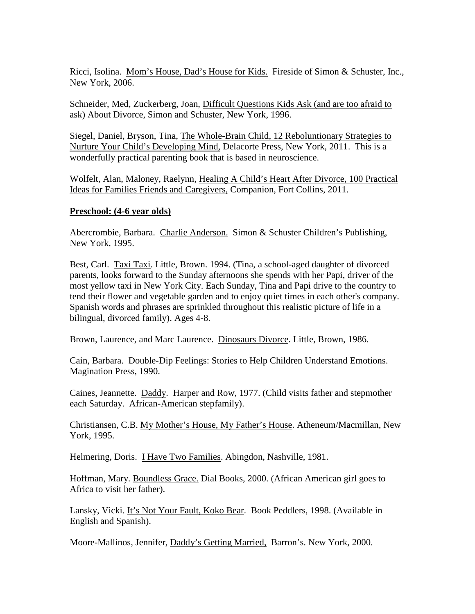Ricci, Isolina. Mom's House, Dad's House for Kids. Fireside of Simon & Schuster, Inc., New York, 2006.

Schneider, Med, Zuckerberg, Joan, Difficult Questions Kids Ask (and are too afraid to ask) About Divorce, Simon and Schuster, New York, 1996.

Siegel, Daniel, Bryson, Tina, The Whole-Brain Child, 12 Reboluntionary Strategies to Nurture Your Child's Developing Mind, Delacorte Press, New York, 2011. This is a wonderfully practical parenting book that is based in neuroscience.

Wolfelt, Alan, Maloney, Raelynn, Healing A Child's Heart After Divorce, 100 Practical Ideas for Families Friends and Caregivers, Companion, Fort Collins, 2011.

## **Preschool: (4-6 year olds)**

Abercrombie, Barbara. Charlie Anderson. Simon & Schuster Children's Publishing, New York, 1995.

Best, Carl. Taxi Taxi. Little, Brown. 1994. (Tina, a school-aged daughter of divorced parents, looks forward to the Sunday afternoons she spends with her Papi, driver of the most yellow taxi in New York City. Each Sunday, Tina and Papi drive to the country to tend their flower and vegetable garden and to enjoy quiet times in each other's company. Spanish words and phrases are sprinkled throughout this realistic picture of life in a bilingual, divorced family). Ages 4-8.

Brown, Laurence, and Marc Laurence. Dinosaurs Divorce. Little, Brown, 1986.

Cain, Barbara. Double-Dip Feelings: Stories to Help Children Understand Emotions. Magination Press, 1990.

Caines, Jeannette. Daddy. Harper and Row, 1977. (Child visits father and stepmother each Saturday. African-American stepfamily).

Christiansen, C.B. My Mother's House, My Father's House. Atheneum/Macmillan, New York, 1995.

Helmering, Doris. I Have Two Families. Abingdon, Nashville, 1981.

Hoffman, Mary. Boundless Grace. Dial Books, 2000. (African American girl goes to Africa to visit her father).

Lansky, Vicki. It's Not Your Fault, Koko Bear. Book Peddlers, 1998. (Available in English and Spanish).

Moore-Mallinos, Jennifer, Daddy's Getting Married, Barron's. New York, 2000.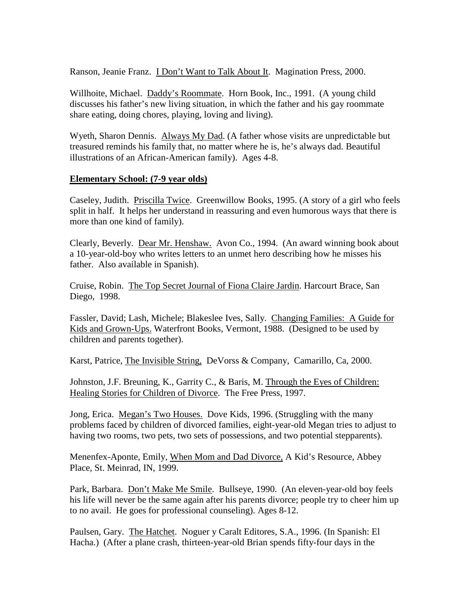Ranson, Jeanie Franz. **I Don't Want to Talk About It.** Magination Press, 2000.

Willhoite, Michael. Daddy's Roommate. Horn Book, Inc., 1991. (A young child discusses his father's new living situation, in which the father and his gay roommate share eating, doing chores, playing, loving and living).

Wyeth, Sharon Dennis. Always My Dad. (A father whose visits are unpredictable but treasured reminds his family that, no matter where he is, he's always dad. Beautiful illustrations of an African-American family). Ages 4-8.

## **Elementary School: (7-9 year olds)**

Caseley, Judith. Priscilla Twice. Greenwillow Books, 1995. (A story of a girl who feels split in half. It helps her understand in reassuring and even humorous ways that there is more than one kind of family).

Clearly, Beverly. Dear Mr. Henshaw. Avon Co., 1994. (An award winning book about a 10-year-old-boy who writes letters to an unmet hero describing how he misses his father. Also available in Spanish).

Cruise, Robin. The Top Secret Journal of Fiona Claire Jardin. Harcourt Brace, San Diego, 1998.

Fassler, David; Lash, Michele; Blakeslee Ives, Sally. Changing Families: A Guide for Kids and Grown-Ups. Waterfront Books, Vermont, 1988. (Designed to be used by children and parents together).

Karst, Patrice, The Invisible String, DeVorss & Company, Camarillo, Ca, 2000.

Johnston, J.F. Breuning, K., Garrity C., & Baris, M. Through the Eyes of Children: Healing Stories for Children of Divorce. The Free Press, 1997.

Jong, Erica. Megan's Two Houses. Dove Kids, 1996. (Struggling with the many problems faced by children of divorced families, eight-year-old Megan tries to adjust to having two rooms, two pets, two sets of possessions, and two potential stepparents).

Menenfex-Aponte, Emily, When Mom and Dad Divorce, A Kid's Resource, Abbey Place, St. Meinrad, IN, 1999.

Park, Barbara. Don't Make Me Smile. Bullseye, 1990. (An eleven-year-old boy feels his life will never be the same again after his parents divorce; people try to cheer him up to no avail. He goes for professional counseling). Ages 8-12.

Paulsen, Gary. The Hatchet. Noguer y Caralt Editores, S.A., 1996. (In Spanish: El Hacha.) (After a plane crash, thirteen-year-old Brian spends fifty-four days in the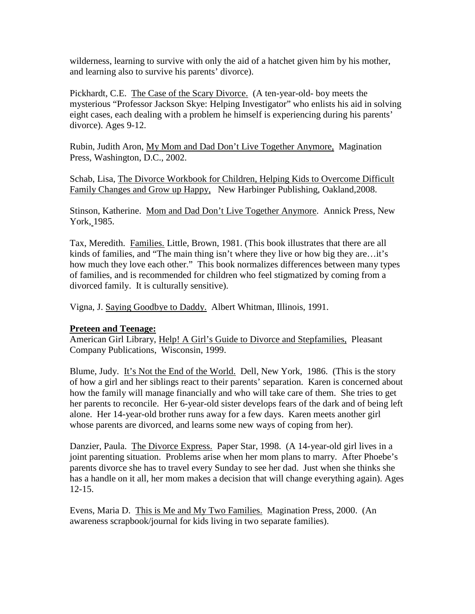wilderness, learning to survive with only the aid of a hatchet given him by his mother, and learning also to survive his parents' divorce).

Pickhardt, C.E. The Case of the Scary Divorce. (A ten-year-old- boy meets the mysterious "Professor Jackson Skye: Helping Investigator" who enlists his aid in solving eight cases, each dealing with a problem he himself is experiencing during his parents' divorce). Ages 9-12.

Rubin, Judith Aron, My Mom and Dad Don't Live Together Anymore, Magination Press, Washington, D.C., 2002.

Schab, Lisa, The Divorce Workbook for Children, Helping Kids to Overcome Difficult Family Changes and Grow up Happy, New Harbinger Publishing, Oakland,2008.

Stinson, Katherine. Mom and Dad Don't Live Together Anymore. Annick Press, New York, 1985.

Tax, Meredith. Families. Little, Brown, 1981. (This book illustrates that there are all kinds of families, and "The main thing isn't where they live or how big they are…it's how much they love each other." This book normalizes differences between many types of families, and is recommended for children who feel stigmatized by coming from a divorced family. It is culturally sensitive).

Vigna, J. Saying Goodbye to Daddy. Albert Whitman, Illinois, 1991.

## **Preteen and Teenage:**

American Girl Library, Help! A Girl's Guide to Divorce and Stepfamilies, Pleasant Company Publications, Wisconsin, 1999.

Blume, Judy. It's Not the End of the World. Dell, New York, 1986. (This is the story of how a girl and her siblings react to their parents' separation. Karen is concerned about how the family will manage financially and who will take care of them. She tries to get her parents to reconcile. Her 6-year-old sister develops fears of the dark and of being left alone. Her 14-year-old brother runs away for a few days. Karen meets another girl whose parents are divorced, and learns some new ways of coping from her).

Danzier, Paula. The Divorce Express. Paper Star, 1998. (A 14-year-old girl lives in a joint parenting situation. Problems arise when her mom plans to marry. After Phoebe's parents divorce she has to travel every Sunday to see her dad. Just when she thinks she has a handle on it all, her mom makes a decision that will change everything again). Ages 12-15.

Evens, Maria D. This is Me and My Two Families. Magination Press, 2000. (An awareness scrapbook/journal for kids living in two separate families).